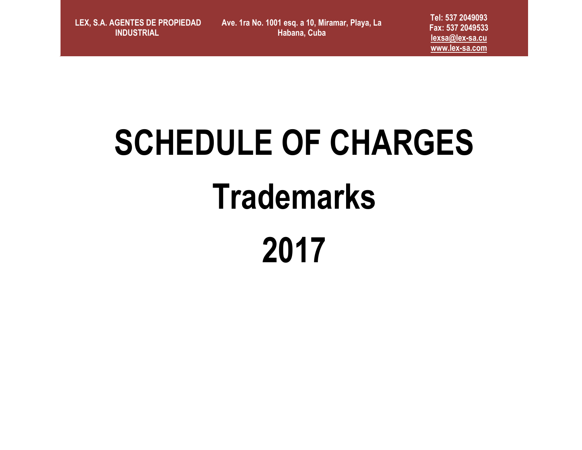**LEX, S.A. AGENTES DE PROPIEDAD INDUSTRIAL** 

**Ave. 1ra No. 1001 esq. a 10, Miramar, Playa, La Habana, Cuba**

**Tel: 537 2049093 Fax: 537 2049533 [lexsa@lex-sa.cu](mailto:lexsa@lex-sa.cu) [www.lex-sa.com](http://www.lex-sa.com/)**

# **SCHEDULE OF CHARGES Trademarks 2017**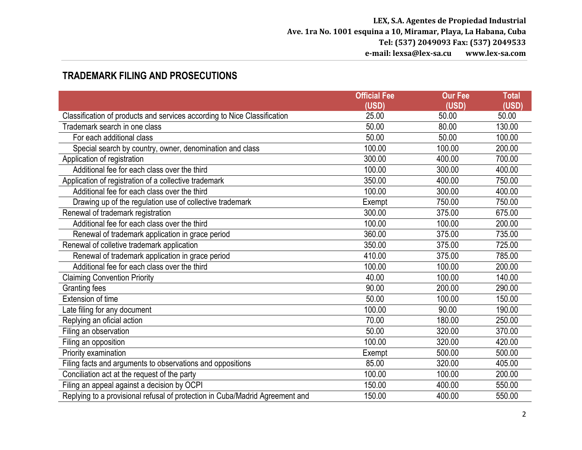### **TRADEMARK FILING AND PROSECUTIONS**

|                                                                              | <b>Official Fee</b> | <b>Our Fee</b> | <b>Total</b> |
|------------------------------------------------------------------------------|---------------------|----------------|--------------|
|                                                                              | (USD)               | (USD)          | (USD)        |
| Classification of products and services according to Nice Classification     | 25.00               | 50.00          | 50.00        |
| Trademark search in one class                                                | 50.00               | 80.00          | 130.00       |
| For each additional class                                                    | 50.00               | 50.00          | 100.00       |
| Special search by country, owner, denomination and class                     | 100.00              | 100.00         | 200.00       |
| Application of registration                                                  | 300.00              | 400.00         | 700.00       |
| Additional fee for each class over the third                                 | 100.00              | 300.00         | 400.00       |
| Application of registration of a collective trademark                        | 350.00              | 400.00         | 750.00       |
| Additional fee for each class over the third                                 | 100.00              | 300.00         | 400.00       |
| Drawing up of the regulation use of collective trademark                     | Exempt              | 750.00         | 750.00       |
| Renewal of trademark registration                                            | 300.00              | 375.00         | 675.00       |
| Additional fee for each class over the third                                 | 100.00              | 100.00         | 200.00       |
| Renewal of trademark application in grace period                             | 360.00              | 375.00         | 735.00       |
| Renewal of colletive trademark application                                   | 350.00              | 375.00         | 725.00       |
| Renewal of trademark application in grace period                             | 410.00              | 375.00         | 785.00       |
| Additional fee for each class over the third                                 | 100.00              | 100.00         | 200.00       |
| <b>Claiming Convention Priority</b>                                          | 40.00               | 100.00         | 140.00       |
| <b>Granting fees</b>                                                         | 90.00               | 200.00         | 290.00       |
| Extension of time                                                            | 50.00               | 100.00         | 150.00       |
| Late filing for any document                                                 | 100.00              | 90.00          | 190.00       |
| Replying an oficial action                                                   | 70.00               | 180.00         | 250.00       |
| Filing an observation                                                        | 50.00               | 320.00         | 370.00       |
| Filing an opposition                                                         | 100.00              | 320.00         | 420.00       |
| Priority examination                                                         | Exempt              | 500.00         | 500.00       |
| Filing facts and arguments to observations and oppositions                   | 85.00               | 320.00         | 405.00       |
| Conciliation act at the request of the party                                 | 100.00              | 100.00         | 200.00       |
| Filing an appeal against a decision by OCPI                                  | 150.00              | 400.00         | 550.00       |
| Replying to a provisional refusal of protection in Cuba/Madrid Agreement and | 150.00              | 400.00         | 550.00       |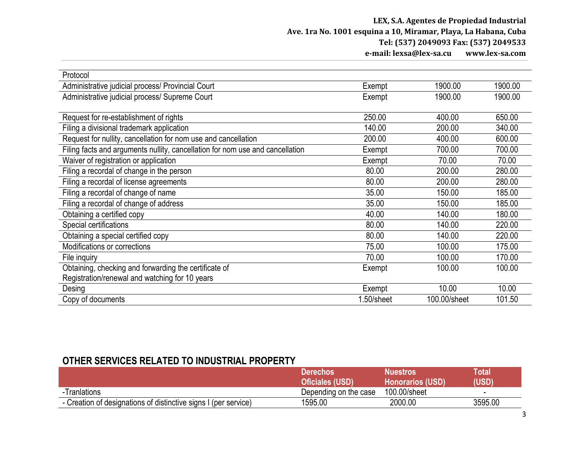| Protocol                                                                      |           |              |         |
|-------------------------------------------------------------------------------|-----------|--------------|---------|
| Administrative judicial process/ Provincial Court                             | Exempt    | 1900.00      | 1900.00 |
| Administrative judicial process/ Supreme Court                                | Exempt    | 1900.00      | 1900.00 |
|                                                                               |           |              |         |
| Request for re-establishment of rights                                        | 250.00    | 400.00       | 650.00  |
| Filing a divisional trademark application                                     | 140.00    | 200.00       | 340.00  |
| Request for nullity, cancellation for nom use and cancellation                | 200.00    | 400.00       | 600.00  |
| Filing facts and arguments nullity, cancellation for nom use and cancellation | Exempt    | 700.00       | 700.00  |
| Waiver of registration or application                                         | Exempt    | 70.00        | 70.00   |
| Filing a recordal of change in the person                                     | 80.00     | 200.00       | 280.00  |
| Filing a recordal of license agreements                                       | 80.00     | 200.00       | 280.00  |
| Filing a recordal of change of name                                           | 35.00     | 150.00       | 185.00  |
| Filing a recordal of change of address                                        | 35.00     | 150.00       | 185.00  |
| Obtaining a certified copy                                                    | 40.00     | 140.00       | 180.00  |
| Special certifications                                                        | 80.00     | 140.00       | 220.00  |
| Obtaining a special certified copy                                            | 80.00     | 140.00       | 220.00  |
| Modifications or corrections                                                  | 75.00     | 100.00       | 175.00  |
| File inquiry                                                                  | 70.00     | 100.00       | 170.00  |
| Obtaining, checking and forwarding the certificate of                         | Exempt    | 100.00       | 100.00  |
| Registration/renewal and watching for 10 years                                |           |              |         |
| Desing                                                                        | Exempt    | 10.00        | 10.00   |
| Copy of documents                                                             | .50/sheet | 100.00/sheet | 101.50  |

### **OTHER SERVICES RELATED TO INDUSTRIAL PROPERTY**

|                                                                 | Derechos              | <b>Nuestros</b> '       | Total   |
|-----------------------------------------------------------------|-----------------------|-------------------------|---------|
|                                                                 | Oficiales (USD)       | <b>Honorarios (USD)</b> | (USD)   |
| -Tranlations                                                    | Depending on the case | 100.00/sheet            |         |
| - Creation of designations of distinctive signs I (per service) | 1595.00               | 2000.00                 | 3595.00 |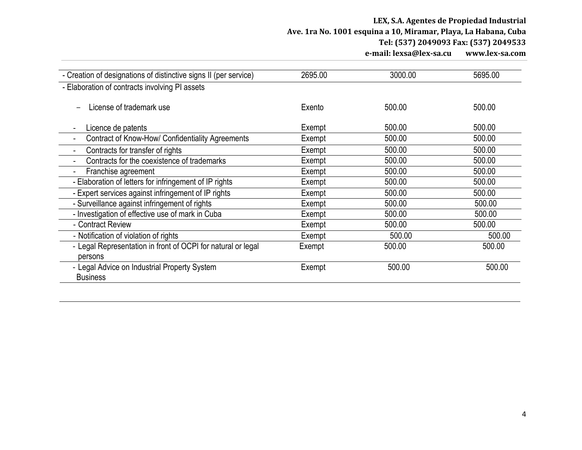#### **LEX, S.A. Agentes de Propiedad Industrial Ave. 1ra No. 1001 esquina a 10, Miramar, Playa, La Habana, Cuba Tel: (537) 2049093 Fax: (537) 2049533 e-mail: lexsa@lex-sa.cu www.lex-sa.com**

| - Creation of designations of distinctive signs II (per service) | 2695.00 | 3000.00 | 5695.00 |
|------------------------------------------------------------------|---------|---------|---------|
| - Elaboration of contracts involving PI assets                   |         |         |         |
| License of trademark use                                         | Exento  | 500.00  | 500.00  |
| Licence de patents                                               | Exempt  | 500.00  | 500.00  |
| Contract of Know-How/ Confidentiality Agreements                 | Exempt  | 500.00  | 500.00  |
| Contracts for transfer of rights                                 | Exempt  | 500.00  | 500.00  |
| Contracts for the coexistence of trademarks                      | Exempt  | 500.00  | 500.00  |
| Franchise agreement                                              | Exempt  | 500.00  | 500.00  |
| - Elaboration of letters for infringement of IP rights           | Exempt  | 500.00  | 500.00  |
| - Expert services against infringement of IP rights              | Exempt  | 500.00  | 500.00  |
| - Surveillance against infringement of rights                    | Exempt  | 500.00  | 500.00  |
| - Investigation of effective use of mark in Cuba                 | Exempt  | 500.00  | 500.00  |
| - Contract Review                                                | Exempt  | 500.00  | 500.00  |
| - Notification of violation of rights                            | Exempt  | 500.00  | 500.00  |
| - Legal Representation in front of OCPI for natural or legal     | Exempt  | 500.00  | 500.00  |
| persons                                                          |         |         |         |
| - Legal Advice on Industrial Property System<br><b>Business</b>  | Exempt  | 500.00  | 500.00  |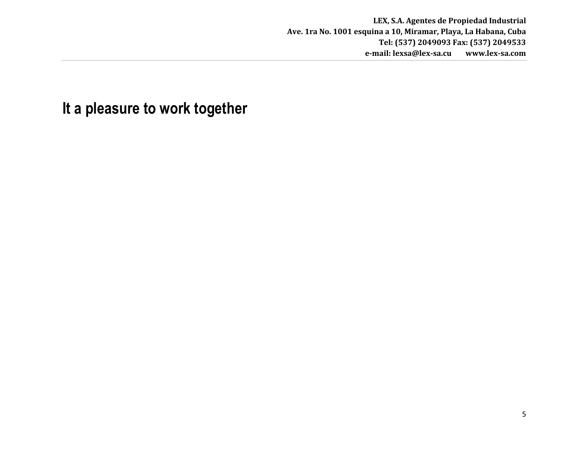## **It a pleasure to work together**